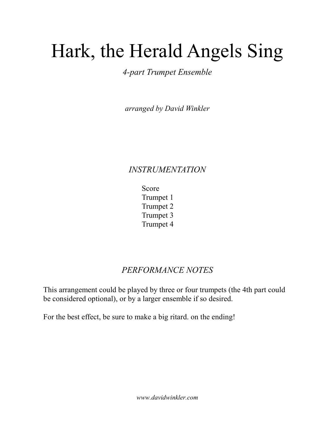## Hark, the Herald Angels Sing

4-part Trumpet Ensemble

arranged by David Winkler

## INSTRUMENTATION

 Score Trumpet 1 Trumpet 2 Trumpet 3 Trumpet 4

## PERFORMANCE NOTES

This arrangement could be played by three or four trumpets (the 4th part could be considered optional), or by a larger ensemble if so desired.

For the best effect, be sure to make a big ritard. on the ending!

www.davidwinkler.com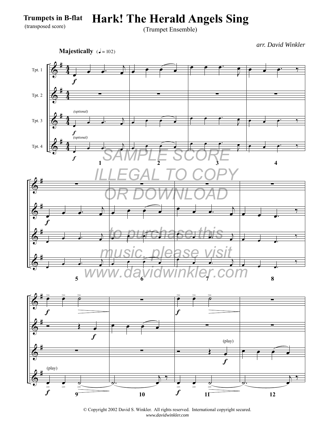**Hark! The Herald Angels Sing**

(Trumpet Ensemble)

*arr. David Winkler*







© Copyright 2002 David S. Winkler. All rights reserved. International copyright secured. *www.davidwinkler.com*